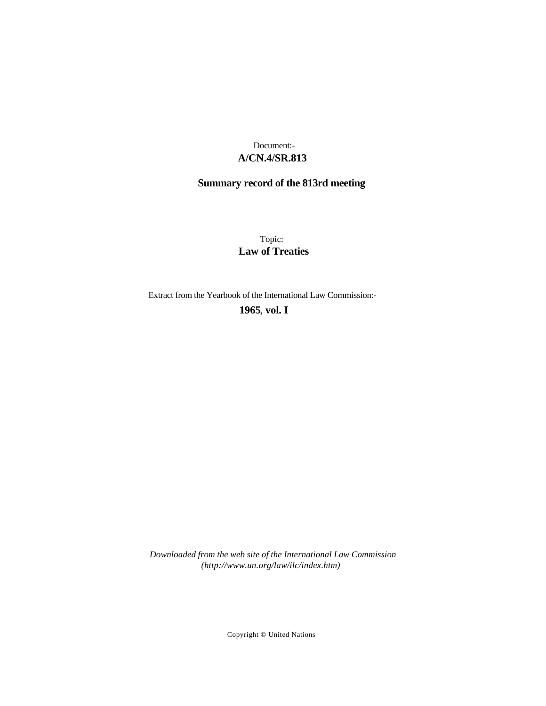# **A/CN.4/SR.813** Document:-

# **Summary record of the 813rd meeting**

Topic: **Law of Treaties**

Extract from the Yearbook of the International Law Commission:-

**1965** , **vol. I**

*Downloaded from the web site of the International Law Commission (http://www.un.org/law/ilc/index.htm)*

Copyright © United Nations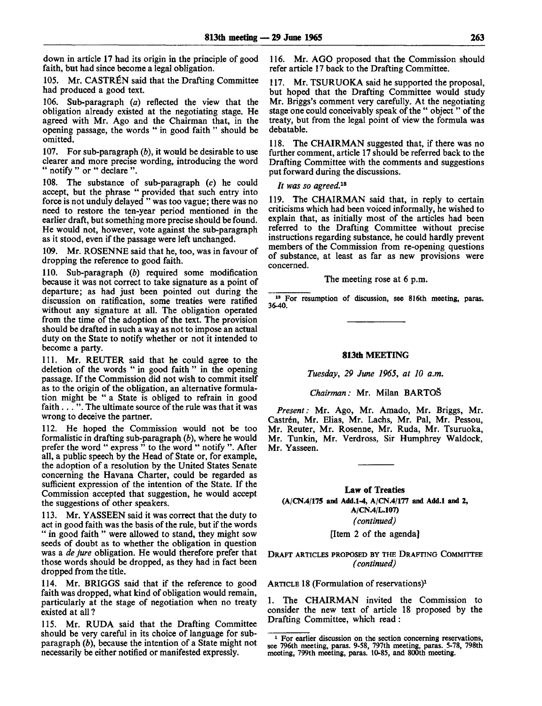down in article 17 had its origin in the principle of good faith, but had since become a legal obligation.

105. Mr. CASTREN said that the Drafting Committee had produced a good text.

106. Sub-paragraph *(a)* reflected the view that the obligation already existed at the negotiating stage. He agreed with Mr. Ago and the Chairman that, in the opening passage, the words " in good faith " should be omitted.

107. For sub-paragraph *(b),* it would be desirable to use clearer and more precise wording, introducing the word " notify " or " declare ".

108. The substance of sub-paragraph (c) he could accept, but the phrase " provided that such entry into force is not unduly delayed " was too vague; there was no need to restore the ten-year period mentioned in the earlier draft, but something more precise should be found. He would not, however, vote against the sub-paragraph as it stood, even if the passage were left unchanged.

109. Mr. ROSENNE said that he, too, was in favour of dropping the reference to good faith.

110. Sub-paragraph *(b)* required some modification because it was not correct to take signature as a point of departure; as had just been pointed out during the discussion on ratification, some treaties were ratified without any signature at all. The obligation operated from the time of the adoption of the text. The provision should be drafted in such a way as not to impose an actual duty on the State to notify whether or not it intended to become a party.

111. Mr. REUTER said that he could agree to the deletion of the words " in good faith " in the opening passage. If the Commission did not wish to commit itself as to the origin of the obligation, an alternative formulation might be " a State is obliged to refrain in good faith... ". The ultimate source of the rule was that it was wrong to deceive the partner.

112. He hoped the Commission would not be too formalistic in drafting sub-paragraph *(b),* where he would prefer the word " express " to the word " notify ". After all, a public speech by the Head of State or, for example, the adoption of a resolution by the United States Senate concerning the Havana Charter, could be regarded as sufficient expression of the intention of the State. If the Commission accepted that suggestion, he would accept the suggestions of other speakers.

113. Mr. YASSEEN said it was correct that the duty to act in good faith was the basis of the rule, but if the words " in good faith " were allowed to stand, they might sow seeds of doubt as to whether the obligation in question was a *de jure* obligation. He would therefore prefer that those words should be dropped, as they had in fact been dropped from the title.

114. Mr. BRIGGS said that if the reference to good faith was dropped, what kind of obligation would remain, particularly at the stage of negotiation when no treaty existed at all ?

115. Mr. RUDA said that the Drafting Committee should be very careful in its choice of language for subparagraph *(b),* because the intention of a State might not necessarily be either notified or manifested expressly.

116. Mr. AGO proposed that the Commission should refer article 17 back to the Drafting Committee.

117. Mr. TSURUOKA said he supported the proposal, but hoped that the Drafting Committee would study Mr. Briggs's comment very carefully. At the negotiating stage one could conceivably speak of the " object " of the treaty, but from the legal point of view the formula was debatable.

118. The CHAIRMAN suggested that, if there was no further comment, article 17 should be referred back to the Drafting Committee with the comments and suggestions put forward during the discussions.

*It was so agreed.<sup>13</sup>*

119. The CHAIRMAN said that, in reply to certain criticisms which had been voiced informally, he wished to explain that, as initially most of the articles had been referred to the Drafting Committee without precise instructions regarding substance, he could hardly prevent members of the Commission from re-opening questions of substance, at least as far as new provisions were concerned.

The meeting rose at 6 p.m.

<sup>18</sup> For resumption of discussion, see 816th meeting, paras. 36-40.

#### **813th MEETING**

*Tuesday, 29 June 1965, at 10 a.m.*

*Chairman:* Mr. Milan BARTOS

*Present:* Mr. Ago, Mr. Amado, Mr. Briggs, Mr. Castrén, Mr. Elias, Mr. Lachs, Mr. Pal, Mr. Pessou, Mr. Reuter, Mr. Rosenne, Mr. Ruda, Mr. Tsuruoka, Mr. Tunkin, Mr. Verdross, Sir Humphrey Waldock, Mr. Yasseen.

# **Law** of **Treaties (A/CN.4/175 and Add.1-4, A/CN.4/177 and Add.l and 2, A/CN.4/L.107)** *(continued)*

[Item 2 of the agenda]

DRAFT ARTICLES PROPOSED BY THE DRAFTING COMMITTEE *(continued)*

ARTICLE 18 (Formulation of reservations)<sup>1</sup>

The CHAIRMAN invited the Commission to consider the new text of article 18 proposed by the Drafting Committee, which read:

<sup>&</sup>lt;sup>1</sup> For earlier discussion on the section concerning reservations, see 796th meeting, paras. 9-58, 797th meeting, paras. 5-78, 798th meeting, 799th meeting, paras. 10-85, and 800th meeting.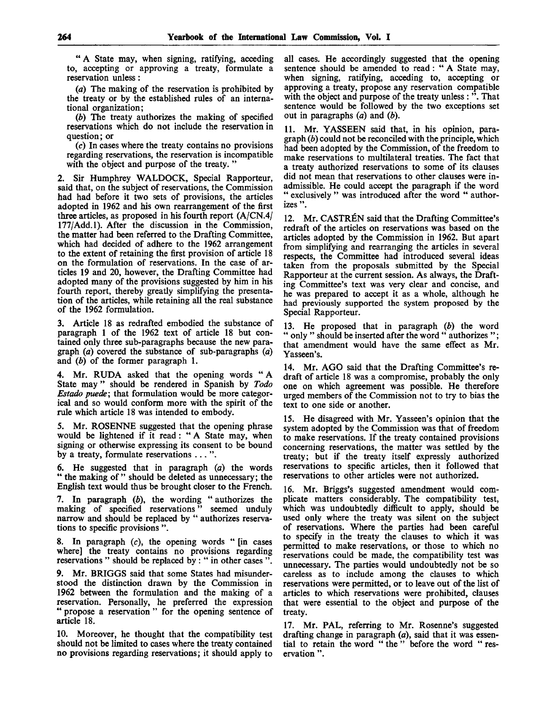" A State may, when signing, ratifying, acceding to, accepting or approving a treaty, formulate a reservation unless :

*(a)* The making of the reservation is prohibited by the treaty or by the established rules of an international organization;

*(b)* The treaty authorizes the making of specified reservations which do not include the reservation in question; or

(c) In cases where the treaty contains no provisions regarding reservations, the reservation is incompatible with the object and purpose of the treaty."

2. Sir Humphrey WALDOCK, Special Rapporteur, said that, on the subject of reservations, the Commission had had before it two sets of provisions, the articles adopted in 1962 and his own rearrangement of the first three articles, as proposed in his fourth report (A/CN.4/ 177/Add.l). After the discussion in the Commission, the matter had been referred to the Drafting Committee, which had decided of adhere to the 1962 arrangement to the extent of retaining the first provision of article 18 on the formulation of reservations. In the case of articles 19 and 20, however, the Drafting Committee had adopted many of the provisions suggested by him in his fourth report, thereby greatly simplifying the presentation of the articles, while retaining all the real substance of the 1962 formulation.

3. Article 18 as redrafted embodied the substance of paragraph 1 of the 1962 text of article 18 but contained only three sub-paragraphs because the new paragraph *(a)* covered the substance of sub-paragraphs *(a)* and *(b)* of the former paragraph 1.

4. Mr. RUDA asked that the opening words " A State may " should be rendered in Spanish by *Todo Estado puede;* that formulation would be more categorical and so would conform more with the spirit of the rule which article 18 was intended to embody.

5. Mr. ROSENNE suggested that the opening phrase would be lightened if it read: " A State may, when signing or otherwise expressing its consent to be bound by a treaty, formulate reservations .. . ".

6. He suggested that in paragraph *(a)* the words " the making of" should be deleted as unnecessary; the English text would thus be brought closer to the French.

7. In paragraph *(b),* the wording " authorizes the making of specified reservations" seemed unduly narrow and should be replaced by " authorizes reservations to specific provisions ".

8. In paragraph  $(c)$ , the opening words " [in cases where] the treaty contains no provisions regarding reservations " should be replaced by : " in other cases ".

9. Mr. BRIGGS said that some States had misunderstood the distinction drawn by the Commission in 1962 between the formulation and the making of a reservation. Personally, he preferred the expression " propose a reservation " for the opening sentence of article 18.

10. Moreover, he thought that the compatibility test should not be limited to cases where the treaty contained no provisions regarding reservations; it should apply to all cases. He accordingly suggested that the opening sentence should be amended to read: " A State may, when signing, ratifying, acceding to, accepting or approving a treaty, propose any reservation compatible with the object and purpose of the treaty unless : ". That sentence would be followed by the two exceptions set out in paragraphs *(a)* and *(b).*

11. Mr. YASSEEN said that, in his opinion, paragraph *(b)* could not be reconciled with the principle, which had been adopted by the Commission, of the freedom to make reservations to multilateral treaties. The fact that a treaty authorized reservations to some of its clauses did not mean that reservations to other clauses were inadmissible. He could accept the paragraph if the word " exclusively " was introduced after the word " authorizes ".

12. Mr. CASTREN said that the Drafting Committee's redraft of the articles on reservations was based on the articles adopted by the Commission in 1962. But apart from simplifying and rearranging the articles in several respects, the Committee had introduced several ideas taken from the proposals submitted by the Special Rapporteur at the current session. As always, the Drafting Committee's text was very clear and concise, and he was prepared to accept it as a whole, although he had previously supported the system proposed by the Special Rapporteur.

13. He proposed that in paragraph *(b)* the word " only " should be inserted after the word " authorizes "; that amendment would have the same effect as Mr. Yasseen's.

14. Mr. AGO said that the Drafting Committee's redraft of article 18 was a compromise, probably the only one on which agreement was possible. He therefore urged members of the Commission not to try to bias the text to one side or another.

15. He disagreed with Mr. Yasseen's opinion that the system adopted by the Commission was that of freedom to make reservations. If the treaty contained provisions concerning reservations, the matter was settled by the treaty; but if the treaty itself expressly authorized reservations to specific articles, then it followed that reservations to other articles were not authorized.

16. Mr. Briggs's suggested amendment would complicate matters considerably. The compatibility test, which was undoubtedly difficult to apply, should be used only where the treaty was silent on the subject of reservations. Where the parties had been careful to specify in the treaty the clauses to which it was permitted to make reservations, or those to which no reservations could be made, the compatibility test was unnecessary. The parties would undoubtedly not be so careless as to include among the clauses to which reservations were permitted, or to leave out of the list of articles to which reservations were prohibited, clauses that were essential to the object and purpose of the treaty.

17. Mr. PAL, referring to Mr. Rosenne's suggested drafting change in paragraph *(a),* said that it was essential to retain the word " the " before the word " reservation ".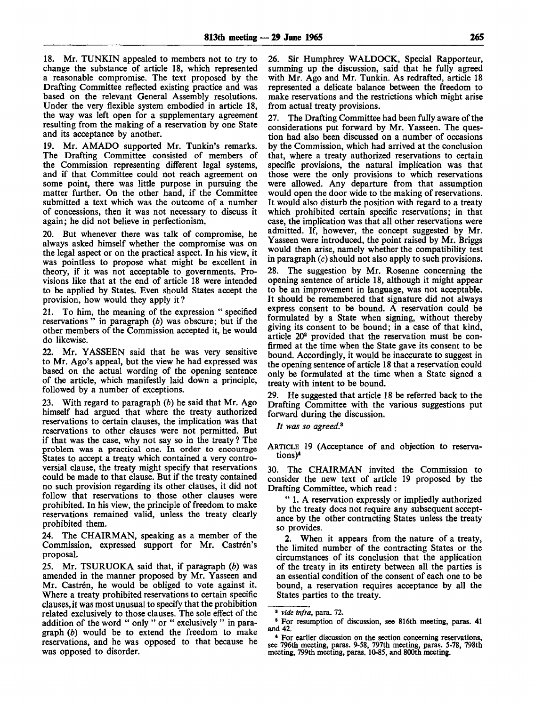18. Mr. TUNKIN appealed to members not to try to change the substance of article 18, which represented a reasonable compromise. The text proposed by the Drafting Committee reflected existing practice and was based on the relevant General Assembly resolutions. Under the very flexible system embodied in article 18, the way was left open for a supplementary agreement resulting from the making of a reservation by one State and its acceptance by another.

19. Mr. AM ADO supported Mr. Tunkin's remarks. The Drafting Committee consisted of members of the Commission representing different legal systems, and if that Committee could not reach agreement on some point, there was little purpose in pursuing the matter further. On the other hand, if the Committee submitted a text which was the outcome of a number of concessions, then it was not necessary to discuss it again; he did not believe in perfectionism.

20. But whenever there was talk of compromise, he always asked himself whether the compromise was on the legal aspect or on the practical aspect. In his view, it was pointless to propose what might be excellent in theory, if it was not acceptable to governments. Provisions like that at the end of article 18 were intended to be applied by States. Even should States accept the provision, how would they apply it ?

21. To him, the meaning of the expression " specified reservations " in paragraph *(b)* was obscure; but if the other members of the Commission accepted it, he would do likewise.

22. Mr. YASSEEN said that he was very sensitive to Mr. Ago's appeal, but the view he had expressed was based on the actual wording of the opening sentence of the article, which manifestly laid down a principle, followed by a number of exceptions.

23. With regard to paragraph *(b)* he said that Mr. Ago himself had argued that where the treaty authorized reservations to certain clauses, the implication was that reservations to other clauses were not permitted. But if that was the case, why not say so in the treaty ? The problem was a practical one. In order to encourage States to accept a treaty which contained a very controversial clause, the treaty might specify that reservations could be made to that clause. But if the treaty contained no such provision regarding its other clauses, it did not follow that reservations to those other clauses were prohibited. In his view, the principle of freedom to make reservations remained valid, unless the treaty clearly prohibited them.

24. The CHAIRMAN, speaking as a member of the Commission, expressed support for Mr. Castrén's proposal.

25. Mr. TSURUOKA said that, if paragraph *(b)* was amended in the manner proposed by Mr. Yasseen and Mr. Castrén, he would be obliged to vote against it. Where a treaty prohibited reservations to certain specific clauses, it was most unusual to specify that the prohibition related exclusively to those clauses. The sole effect of the addition of the word " only " or " exclusively " in paragraph *(b)* would be to extend the freedom to make reservations, and he was opposed to that because he was opposed to disorder.

26. Sir Humphrey WALDOCK, Special Rapporteur, summing up the discussion, said that he fully agreed with Mr. Ago and Mr. Tunkin. As redrafted, article 18 represented a delicate balance between the freedom to make reservations and the restrictions which might arise from actual treaty provisions.

27. The Drafting Committee had been fully aware of the considerations put forward by Mr. Yasseen. The question had also been discussed on a number of occasions by the Commission, which had arrived at the conclusion that, where a treaty authorized reservations to certain specific provisions, the natural implication was that those were the only provisions to which reservations were allowed. Any departure from that assumption would open the door wide to the making of reservations. It would also disturb the position with regard to a treaty which prohibited certain specific reservations; in that case, the implication was that all other reservations were admitted. If, however, the concept suggested by Mr. Yasseen were introduced, the point raised by Mr. Briggs would then arise, namely whether the compatibility test in paragraph (c) should not also apply to such provisions.

28. The suggestion by Mr. Rosenne concerning the opening sentence of article 18, although it might appear to be an improvement in language, was not acceptable. It should be remembered that signature did not always express consent to be bound. A reservation could be formulated by a State when signing, without thereby giving its consent to be bound; in a case of that kind, article 20<sup>2</sup> provided that the reservation must be confirmed at the time when the State gave its consent to be bound. Accordingly, it would be inaccurate to suggest in the opening sentence of article 18 that a reservation could only be formulated at the time when a State signed a treaty with intent to be bound.

29. He suggested that article 18 be referred back to the Drafting Committee with the various suggestions put forward during the discussion.

*It was so agreed.<sup>3</sup>*

ARTICLE 19 (Acceptance of and objection to reservations)<sup>4</sup>

30. The CHAIRMAN invited the Commission to consider the new text of article 19 proposed by the Drafting Committee, which read :

" L A reservation expressly or impliedly authorized by the treaty does not require any subsequent acceptance by the other contracting States unless the treaty so provides.

2. When it appears from the nature of a treaty, the limited number of the contracting States or the circumstances of its conclusion that the application of the treaty in its entirety between all the parties is an essential condition of the consent of each one to be bound, a reservation requires acceptance by all the States parties to the treaty.

<sup>2</sup>  *vide infra,* para. 72.

<sup>8</sup> For resumption of discussion, see 816th meeting, paras. 41 and 42.

<sup>4</sup> For earlier discussion on the section concerning reservations, see 796th meeting, paras. 9-58, 797th meeting, paras. 5-78, 798th meeting, 799th meeting, paras. 10-85, and 800th meeting.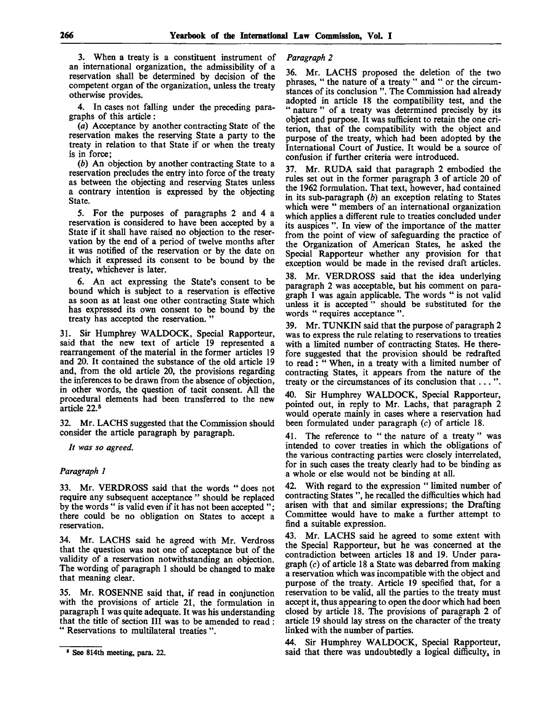3. When a treaty is a constituent instrument of an international organization, the admissibility of a reservation shall be determined by decision of the competent organ of the organization, unless the treaty otherwise provides.

4. In cases not falling under the preceding paragraphs of this article:

*(a)* Acceptance by another contracting State of the reservation makes the reserving State a party to the treaty in relation to that State if or when the treaty is in force;

*(b)* An objection by another contracting State to a reservation precludes the entry into force of the treaty as between the objecting and reserving States unless a contrary intention is expressed by the objecting State.

5. For the purposes of paragraphs 2 and 4 a reservation is considered to have been accepted by a State if it shall have raised no objection to the reservation by the end of a period of twelve months after it was notified of the reservation or by the date on which it expressed its consent to be bound by the treaty, whichever is later.

6. An act expressing the State's consent to be bound which is subject to a reservation is effective as soon as at least one other contracting State which has expressed its own consent to be bound by the treaty has accepted the reservation. "

31. Sir Humphrey WALDOCK, Special Rapporteur, said that the new text of article 19 represented a rearrangement of the material in the former articles 19 and 20. It contained the substance of the old article 19 and, from the old article 20, the provisions regarding the inferences to be drawn from the absence of objection, in other words, the question of tacit consent. All the procedural elements had been transferred to the new article 22.<sup>5</sup>

32. Mr. LACHS suggested that the Commission should consider the article paragraph by paragraph.

*It was so agreed.*

# *Paragraph 1*

33. Mr. VERDROSS said that the words " does not require any subsequent acceptance " should be replaced by the words " is valid even if it has not been accepted "; there could be no obligation on States to accept a reservation.

34. Mr. LACHS said he agreed with Mr. Verdross that the question was not one of acceptance but of the validity of a reservation notwithstanding an objection. The wording of paragraph 1 should be changed to make that meaning clear.

35. Mr. ROSENNE said that, if read in conjunction with the provisions of article 21, the formulation in paragraph 1 was quite adequate. It was his understanding that the title of section III was to be amended to read : " Reservations to multilateral treaties ".

*Paragraph 2*

36. Mr. LACHS proposed the deletion of the two phrases, " the nature of a treaty " and " or the circumstances of its conclusion ". The Commission had already adopted in article 18 the compatibility test, and the " nature " of a treaty was determined precisely by its object and purpose. It was sufficient to retain the one criterion, that of the compatibility with the object and purpose of the treaty, which had been adopted by the International Court of Justice. It would be a source of confusion if further criteria were introduced.

Mr. RUDA said that paragraph 2 embodied the rules set out in the former paragraph 3 of article 20 of the 1962 formulation. That text, however, had contained in its sub-paragraph *(b)* an exception relating to States which were " members of an international organization which applies a different rule to treaties concluded under its auspices ". In view of the importance of the matter from the point of view of safeguarding the practice of the Organization of American States, he asked the Special Rapporteur whether any provision for that exception would be made in the revised draft articles.

38. Mr. VERDROSS said that the idea underlying paragraph 2 was acceptable, but his comment on paragraph 1 was again applicable. The words " is not valid unless it is accepted " should be substituted for the words " requires acceptance ".

39. Mr. TUNKIN said that the purpose of paragraph 2 was to express the rule relating to reservations to treaties with a limited number of contracting States. He therefore suggested that the provision should be redrafted to read: " When, in a treaty with a limited number of contracting States, it appears from the nature of the treaty or the circumstances of its conclusion that .. . ".

40. Sir Humphrey WALDOCK, Special Rapporteur, pointed out, in reply to Mr. Lachs, that paragraph 2 would operate mainly in cases where a reservation had been formulated under paragraph (c) of article 18.

41. The reference to "the nature of a treaty" was intended to cover treaties in which the obligations of the various contracting parties were closely interrelated, for in such cases the treaty clearly had to be binding as a whole or else would not be binding at all.

42. With regard to the expression " limited number of contracting States ", he recalled the difficulties which had arisen with that and similar expressions; the Drafting Committee would have to make a further attempt to find a suitable expression.

43. Mr. LACHS said he agreed to some extent with the Special Rapporteur, but he was concerned at the contradiction between articles 18 and 19. Under paragraph (c) of article 18 a State was debarred from making a reservation which was incompatible with the object and purpose of the treaty. Article 19 specified that, for a reservation to be valid, all the parties to the treaty must accept it, thus appearing to open the door which had been closed by article 18. The provisions of paragraph 2 of article 19 should lay stress on the character of the treaty linked with the number of parties.

44. Sir Humphrey WALDOCK, Special Rapporteur, said that there was undoubtedly a logical difficulty, in

<sup>6</sup> See 814th meeting, para. 22.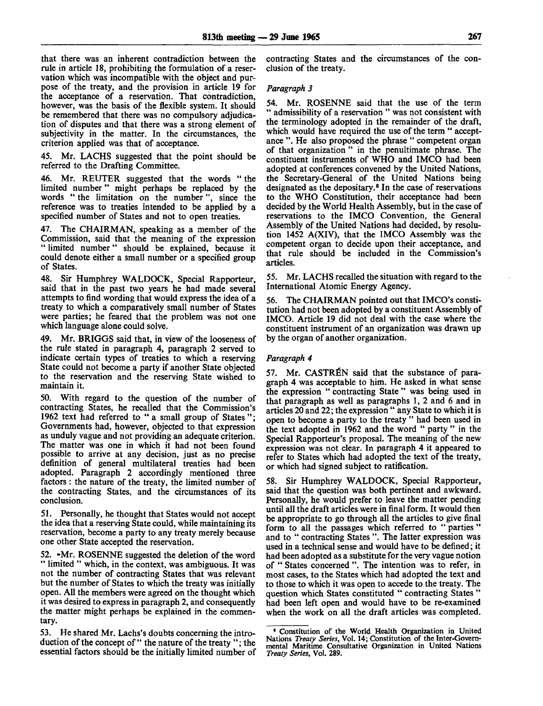that there was an inherent contradiction between the rule in article 18, prohibiting the formulation of a reservation which was incompatible with the object and purpose of the treaty, and the provision in article 19 for the acceptance of a reservation. That contradiction, however, was the basis of the flexible system. It should be remembered that there was no compulsory adjudication of disputes and that there was a strong element of subjectivity in the matter. In the circumstances, the criterion applied was that of acceptance.

45. Mr. LACHS suggested that the point should be referred to the Drafting Committee.

Mr. REUTER suggested that the words "the limited number" might perhaps be replaced by the words " the limitation on the number", since the reference was to treaties intended to be applied by a specified number of States and not to open treaties.

47. The CHAIRMAN, speaking as a member of the Commission, said that the meaning of the expression " limited number" should be explained, because it could denote either a small number or a specified group of States.

48. Sir Humphrey WALDOCK, Special Rapporteur, said that in the past two years he had made several attempts to find wording that would express the idea of a treaty to which a comparatively small number of States were parties; he feared that the problem was not one which language alone could solve.

49. Mr. BRIGGS said that, in view of the looseness of the rule stated in paragraph 4, paragraph 2 served to indicate certain types of treaties to which a reserving State could not become a party if another State objected to the reservation and the reserving State wished to maintain it.

50. With regard to the question of the number of contracting States, he recalled that the Commission's 1962 text had referred to " a small group of States "; Governments had, however, objected to that expression as unduly vague and not providing an adequate criterion. The matter was one in which it had not been found possible to arrive at any decision, just as no precise definition of general multilateral treaties had been adopted. Paragraph 2 accordingly mentioned three factors : the nature of the treaty, the limited number of the contracting States, and the circumstances of its conclusion.

51. Personally, he thought that States would not accept the idea that a reserving State could, while maintaining its reservation, become a party to any treaty merely because one other State accepted the reservation.

52. »Mr. ROSENNE suggested the deletion of the word " limited " which, in the context, was ambiguous. It was not the number of contracting States that was relevant but the number of States to which the treaty was initially open. All the members were agreed on the thought which it was desired to express in paragraph 2, and consequently the matter might perhaps be explained in the commentary.

53. He shared Mr. Lachs's doubts concerning the introduction of the concept of" the nature of the treaty "; the essential factors should be the initially limited number of contracting States and the circumstances of the conclusion of the treaty.

## *Paragraph 3*

54. Mr. ROSENNE said that the use of the term admissibility of a reservation " was not consistent with the terminology adopted in the remainder of the draft, which would have required the use of the term " acceptance ". He also proposed the phrase " competent organ of that organization " in the penultimate phrase. The constituent instruments of WHO and IMCO had been adopted at conferences convened by the United Nations, the Secretary-General of the United Nations being designated as the depositary.<sup>6</sup> In the case of reservations to the WHO Constitution, their acceptance had been decided by the World Health Assembly, but in the case of reservations to the IMCO Convention, the General Assembly of the United Nations had decided, by resolution 1452 A(XIV), that the IMCO Assembly was the competent organ to decide upon their acceptance, and that rule should be included in the Commission's articles.

55. Mr. LACHS recalled the situation with regard to the International Atomic Energy Agency.

56. The CHAIRMAN pointed out that IMCO's constitution had not been adopted by a constituent Assembly of IMCO. Article 19 did not deal with the case where the constituent instrument of an organization was drawn up by the organ of another organization.

# *Paragraph 4*

57. Mr. CASTREN said that the substance of paragraph 4 was acceptable to him. He asked in what sense the expression " contracting State " was being used in that paragraph as well as paragraphs 1, 2 and 6 and in articles 20 and 22; the expression " any State to which it is open to become a party to the treaty " had been used in the text adopted in 1962 and the word " party " in the Special Rapporteur's proposal. The meaning of the new expression was not clear. In paragraph 4 it appeared to refer to States which had adopted the text of the treaty, or which had signed subject to ratification.

58. Sir Humphrey WALDOCK, Special Rapporteur, said that the question was both pertinent and awkward. Personally, he would prefer to leave the matter pending until all the draft articles were in final form. It would then be appropriate to go through all the articles to give final form to all the passages which referred to "parties" and to " contracting States ". The latter expression was used in a technical sense and would have to be defined; it had been adopted as a substitute for the very vague notion of " States concerned ". The intention was to refer, in most cases, to the States which had adopted the text and to those to which it was open to accede to the treaty. The question which States constituted " contracting States ' had been left open and would have to be re-examined when the work on all the draft articles was completed.

<sup>•</sup> Constitution of the World Health Organization in United Nations *Treaty Series,* Vol. 14; Constitution of the Inter-Governmental Maritime Consultative Organization in United Nations *Treaty Series,* Vol. 289.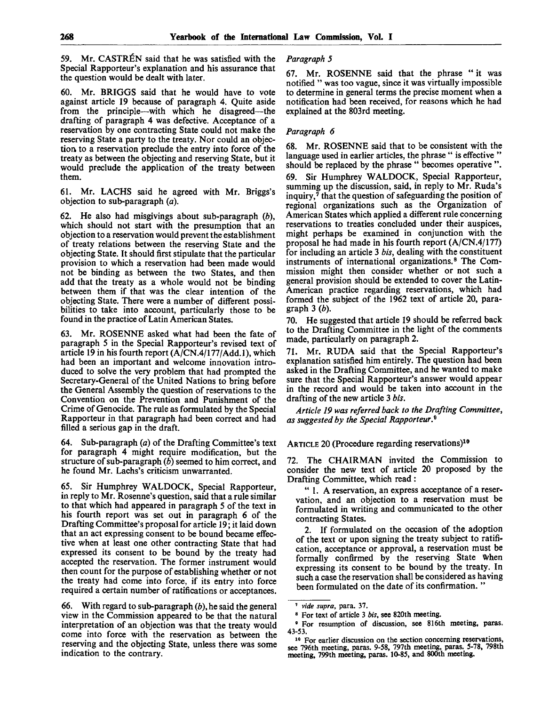59. Mr. CASTREN said that he was satisfied with the Special Rapporteur's explanation and his assurance that the question would be dealt with later.

Mr. BRIGGS said that he would have to vote against article 19 because of paragraph 4. Quite aside from the principle—with which he disagreed—the drafting of paragraph 4 was defective. Acceptance of a reservation by one contracting State could not make the reserving State a party to the treaty. Nor could an objection, to a reservation preclude the entry into force of the treaty as between the objecting and reserving State, but it would preclude the application of the treaty between them.

61. Mr. LACHS said he agreed with Mr. Briggs's objection to sub-paragraph *(a).*

62. He also had misgivings about sub-paragraph *(b),* which should not start with the presumption that an objection to a reservation would prevent the establishment of treaty relations between the reserving State and the objecting State. It should first stipulate that the particular provision to which a reservation had been made would not be binding as between the two States, and then add that the treaty as a whole would not be binding between them if that was the clear intention of the objecting State. There were a number of different possibilities to take into account, particularly those to be found in the practice of Latin American States.

63. Mr. ROSENNE asked what had been the fate of paragraph 5 in the Special Rapporteur's revised text of article 19 in his fourth report (A/CN.4/177/Add.l), which had been an important and welcome innovation introduced to solve the very problem that had prompted the Secretary-General of the United Nations to bring before the General Assembly the question of reservations to the Convention on the Prevention and Punishment of the Crime of Genocide. The rule as formulated by the Special Rapporteur in that paragraph had been correct and had filled a serious gap in the draft.

64. Sub-paragraph *(a)* of the Drafting Committee's text for paragraph 4 might require modification, but the structure of sub-paragraph *(b)* seemed to him correct, and he found Mr. Lachs's criticism unwarranted.

65. Sir Humphrey WALDOCK, Special Rapporteur, in reply to Mr. Rosenne's question, said that a rule similar to that which had appeared in paragraph 5 of the text in his fourth report was set out in paragraph 6 of the Drafting Committee's proposal for article 19; it laid down that an act expressing consent to be bound became effective when at least one other contracting State that had expressed its consent to be bound by the treaty had accepted the reservation. The former instrument would then count for the purpose of establishing whether or not the treaty had come into force, if its entry into force required a certain number of ratifications or acceptances.

66. With regard to sub-paragraph *(b),* he said the general view in the Commission appeared to be that the natural interpretation of an objection was that the treaty would come into force with the reservation as between the reserving and the objecting State, unless there was some indication to the contrary.

# *Paragraph 5*

67. Mr. ROSENNE said that the phrase "it was notified " was too vague, since it was virtually impossible to determine in general terms the precise moment when a notification had been received, for reasons which he had explained at the 803rd meeting.

#### *Paragraph 6*

68. Mr. ROSENNE said that to be consistent with the language used in earlier articles, the phrase " is effective ' should be replaced by the phrase " becomes operative ".

69. Sir Humphrey WALDOCK, Special Rapporteur, summing up the discussion, said, in reply to Mr. Ruda's inquiry,<sup>7</sup> that the question of safeguarding the position of regional organizations such as the Organization of American States which applied a different rule concerning reservations to treaties concluded under their auspices, might perhaps be examined in conjunction with the proposal he had made in his fourth report (A/CN.4/177) for including an article 3 *bis,* dealing with the constituent instruments of international organizations.<sup>8</sup> The Commission might then consider whether or not such a general provision should be extended to cover the Latin-American practice regarding reservations, which had formed the subject of the 1962 text of article 20, paragraph 3 *(b).*

70. He suggested that article 19 should be referred back to the Drafting Committee in the light of the comments made, particularly on paragraph 2.

71. Mr. RUDA said that the Special Rapporteur's explanation satisfied him entirely. The question had been asked in the Drafting Committee, and he wanted to make sure that the Special Rapporteur's answer would appear in the record and would be taken into account in the drafting of the new article 3 *bis.*

*Article 19 was referred back to the Drafting Committee,* as suggested by the Special Rapporteur.<sup>9</sup>

## ARTICLE 20 (Procedure regarding reservations)<sup>10</sup>

72. The CHAIRMAN invited the Commission to consider the new text of article 20 proposed by the Drafting Committee, which read :

" 1. A reservation, an express acceptance of a reservation, and an objection to a reservation must be formulated in writing and communicated to the other contracting States.

2. If formulated on the occasion of the adoption of the text or upon signing the treaty subject to ratification, acceptance or approval, a reservation must be formally confirmed by the reserving State when expressing its consent to be bound by the treaty. In such a case the reservation shall be considered as having been formulated on the date of its confirmation. "

<sup>7</sup>  *vide supra,* para. 37.

<sup>8</sup> For text of article 3 *bis,* see 820th meeting.

<sup>•</sup> For resumption of discussion, see 816th meeting, paras. 43-53.

<sup>&</sup>lt;sup>10</sup> For earlier discussion on the section concerning reservations, see 796th meeting, paras. 9-58, 797th meeting, paras. 5-78, 798th meeting, 799th meeting, paras. 10-85, and 800th meeting.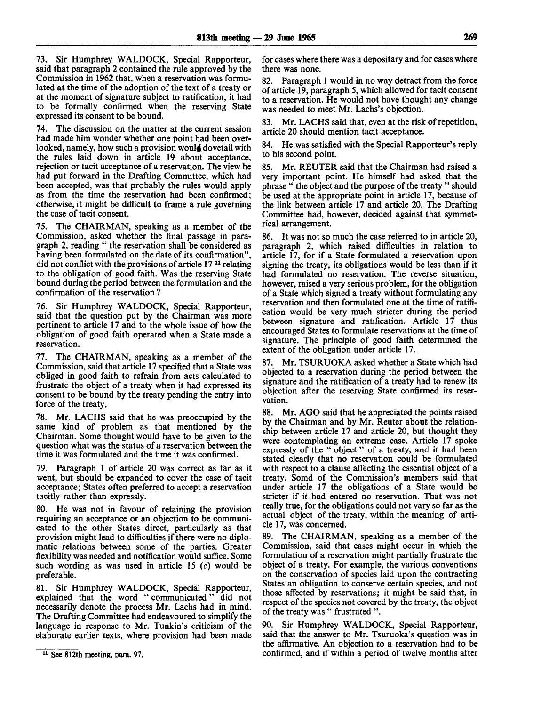73. Sir Humphrey WALDOCK, Special Rapporteur, said that paragraph 2 contained the rule approved by the Commission in 1962 that, when a reservation was formulated at the time of the adoption of the text of a treaty or at the moment of signature subject to ratification, it had to be formally confirmed when the reserving State expressed its consent to be bound.

74. The discussion on the matter at the current session had made him wonder whether one point had been overlooked, namely, how such a provision would dovetail with the rules laid down in article 19 about acceptance, rejection or tacit acceptance of a reservation. The view he had put forward in the Drafting Committee, which had been accepted, was that probably the rules would apply as from the time the reservation had been confirmed; otherwise, it might be difficult to frame a rule governing the case of tacit consent.

75. The CHAIRMAN, speaking as a member of the Commission, asked whether the final passage in paragraph 2, reading " the reservation shall be considered as having been formulated on the date of its confirmation", did not conflict with the provisions of article  $17<sup>11</sup>$  relating to the obligation of good faith. Was the reserving State bound during the period between the formulation and the confirmation of the reservation ?

76. Sir Humphrey WALDOCK, Special Rapporteur, said that the question put by the Chairman was more pertinent to article 17 and to the whole issue of how the obligation of good faith operated when a State made a reservation.

77. The CHAIRMAN, speaking as a member of the Commission, said that article 17 specified that a State was obliged in good faith to refrain from acts calculated to frustrate the object of a treaty when it had expressed its consent to be bound by the treaty pending the entry into force of the treaty.

78. Mr. LACHS said that he was preoccupied by the same kind of problem as that mentioned by the Chairman. Some thought would have to be given to the question what was the status of a reservation between the time it was formulated and the time it was confirmed.

79. Paragraph 1 of article 20 was correct as far as it went, but should be expanded to cover the case of tacit acceptance; States often preferred to accept a reservation tacitly rather than expressly.

80. He was not in favour of retaining the provision requiring an acceptance or an objection to be communicated to the other States direct, particularly as that provision might lead to difficulties if there were no diplomatic relations between some of the parties. Greater flexibility was needed and notification would suffice. Some such wording as was used in article 15  $(c)$  would be preferable.

81. Sir Humphrey WALDOCK, Special Rapporteur, explained that the word " communicated" did not necessarily denote the process Mr. Lachs had in mind. The Drafting Committee had endeavoured to simplify the language in response to Mr. Tunkin's criticism of the elaborate earlier texts, where provision had been made for cases where there was a depositary and for cases where there was none.

82. Paragraph 1 would in no way detract from the force of article 19, paragraph 5, which allowed for tacit consent to a reservation. He would not have thought any change was needed to meet Mr. Lachs's objection.

Mr. LACHS said that, even at the risk of repetition, article 20 should mention tacit acceptance.

84. He was satisfied with the Special Rapporteur's reply to his second point.

85. Mr. REUTER said that the Chairman had raised a very important point. He himself had asked that the phrase " the object and the purpose of the treaty " should be used at the appropriate point in article 17, because of the link between article 17 and article 20. The Drafting Committee had, however, decided against that symmetrical arrangement.

86. It was not so much the case referred to in article 20, paragraph 2, which raised difficulties in relation to article 17, for if a State formulated a reservation upon signing the treaty, its obligations would be less than if it had formulated no reservation. The reverse situation, however, raised a very serious problem, for the obligation of a State which signed a treaty without formulating any reservation and then formulated one at the time of ratification would be very much stricter during the period between signature and ratification. Article 17 thus encouraged States to formulate reservations at the time of signature. The principle of good faith determined the extent of the obligation under article 17.

87. Mr. TSURUOKA asked whether a State which had objected to a reservation during the period between the signature and the ratification of a treaty had to renew its objection after the reserving State confirmed its reservation.

88. Mr. AGO said that he appreciated the points raised by the Chairman and by Mr. Reuter about the relationship between article 17 and article 20, but thought they were contemplating an extreme case. Article 17 spoke expressly of the " object" of a treaty, and it had been stated clearly that no reservation could be formulated with respect to a clause affecting the essential object of a treaty. Somd of the Commission's members said that under article 17 the obligations of a State would be stricter if it had entered no reservation. That was not really true, for the obligations could not vary so far as the actual object of the treaty, within the meaning of article 17, was concerned.

89. The CHAIRMAN, speaking as a member of the Commission, said that cases might occur in which the formulation of a reservation might partially frustrate the object of a treaty. For example, the various conventions on the conservation of species laid upon the contracting States an obligation to conserve certain species, and not those affected by reservations; it might be said that, in respect of the species not covered by the treaty, the object of the treaty was " frustrated ".

90. Sir Humphrey WALDOCK, Special Rapporteur, said that the answer to Mr. Tsuruoka's question was in the affirmative. An objection to a reservation had to be confirmed, and if within a period of twelve months after

<sup>11</sup> See 812th meeting, para. 97.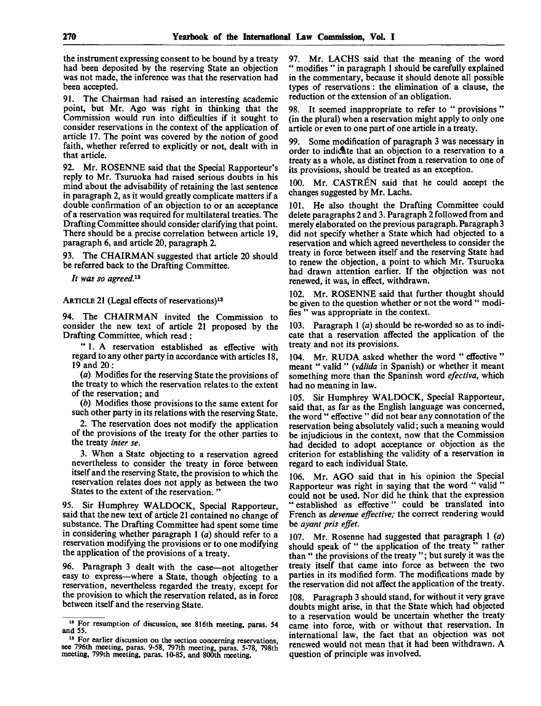the instrument expressing consent to be bound by a treaty had been deposited by the reserving State an objection was not made, the inference was that the reservation had been accepted.

91. The Chairman had raised an interesting academic point, but Mr. Ago was right in thinking that the Commission would run into difficulties if it sought to consider reservations in the context of the application of article 17. The point was covered by the notion of good faith, whether referred to explicitly or not, dealt with in that article.

92. Mr. ROSENNE said that the Special Rapporteur's reply to Mr. Tsuruoka had raised serious doubts in his mind about the advisability of retaining the last sentence in paragraph 2, as it would greatly complicate matters if a double confirmation of an objection to or an acceptance of a reservation was required for multilateral treaties. The Drafting Committee should consider clarifying that point. There should be a precise correlation between article 19, paragraph 6, and article 20, paragraph 2.

93. The CHAIRMAN suggested that article 20 should be referred back to the Drafting Committee.

*It was so agreed.*<sup>12</sup>

ARTICLE 21 (Legal effects of reservations)<sup>13</sup>

94. The CHAIRMAN invited the Commission to consider the new text of article 21 proposed by the Drafting Committee, which read :

" 1. A reservation established as effective with regard to any other party in accordance with articles 18, 19 and 20:

*(a)* Modifies for the reserving State the provisions of the treaty to which the reservation relates to the extent of the reservation; and

*(b)* Modifies those provisions to the same extent for such other party in its relations with the reserving State.

2. The reservation does not modify the application of the provisions of the treaty for the other parties to the treaty *inter se.*

3. When a State objecting to a reservation agreed nevertheless to consider the treaty in force between itself and the reserving State, the provision to which the reservation relates does not apply as between the two States to the extent of the reservation. "

95. Sir Humphrey WALDOCK, Special Rapporteur, said that the new text of article 21 contained no change of substance. The Drafting Committee had spent some time in considering whether paragraph 1 *(a)* should refer to a reservation modifying the provisions or to one modifying the application of the provisions of a treaty.

96. Paragraph 3 dealt with the case—not altogether easy to express—where a State, though objecting to a reservation, nevertheless regarded the treaty, except for the provision to which the reservation related, as in force between itself and the reserving State.

97. Mr. LACHS said that the meaning of the word " modifies " in paragraph 1 should be carefully explained in the commentary, because it should denote all possible types of reservations: the elimination of a clause, the reduction or the extension of an obligation.

98. It seemed inappropriate to refer to " provisions " (in the plural) when a reservation might apply to only one article or even to one part of one article in a treaty.

99. Some modification of paragraph 3 was necessary in order to indicate that an objection to a reservation to a treaty as a whole, as distinct from a reservation to one of its provisions, should be treated as an exception.

100. Mr. CASTREN said that he could accept the changes suggested by Mr. Lachs.

101. He also thought the Drafting Committee could delete paragraphs 2 and 3. Paragraph 2 followed from and merely elaborated on the previous paragraph. Paragraph 3 did not specify whether a State which had objected to a reservation and which agreed nevertheless to consider the treaty in force between itself and the reserving State had to renew the objection, a point to which Mr. Tsuruoka had drawn attention earlier. If the objection was not renewed, it was, in effect, withdrawn.

102. Mr. ROSENNE said that further thought should be given to the question whether or not the word " modifies " was appropriate in the context.

103. Paragraph 1 *(a)* should be re-worded so as to indicate that a reservation affected the application of the treaty and not its provisions.

104. Mr. RUDA asked whether the word " effective " meant " valid " (válida in Spanish) or whether it meant something more than the Spaninsh word *efectiva,* which had no meaning in law.

105. Sir Humphrey WALDOCK, Special Rapporteur, said that, as far as the English language was concerned, the word " effective " did not bear any connotation of the reservation being absolutely valid; such a meaning would be injudicious in the context, now that the Commission had decided to adopt acceptance or objection as the criterion for establishing the validity of a reservation in regard to each individual State.

106. Mr. AGO said that in his opinion the Special Rapporteur was right in saying that the word " valid ' could not be used. Nor did he think that the expression " established as effective" could be translated into French as *devenue effective;* the correct rendering would be *ayant pris effet.*

107. Mr. Rosenne had suggested that paragraph 1 *(a)* should speak of " the application of the treaty " rather than " the provisions of the treaty "; but surely it was the treaty itself that came into force as between the two parties in its modified form. The modifications made by the reservation did not affect the application of the treaty.

108. Paragraph 3 should stand, for without it very grave doubts might arise, in that the State which had objected to a reservation would be uncertain whether the treaty came into force, with or without that reservation. In international law, the fact that an objection was not renewed would not mean that it had been withdrawn. A question of principle was involved.

<sup>&</sup>lt;sup>12</sup> For resumption of discussion, see 816th meeting, paras. 54 and 55.

<sup>&</sup>lt;sup>18</sup> For earlier discussion on the section concerning reservations, see 796th meeting, paras. 9-58, 797th meeting, paras. 5-78, 798th meeting, 799th meeting, paras. 10-85, and 800th meeting.